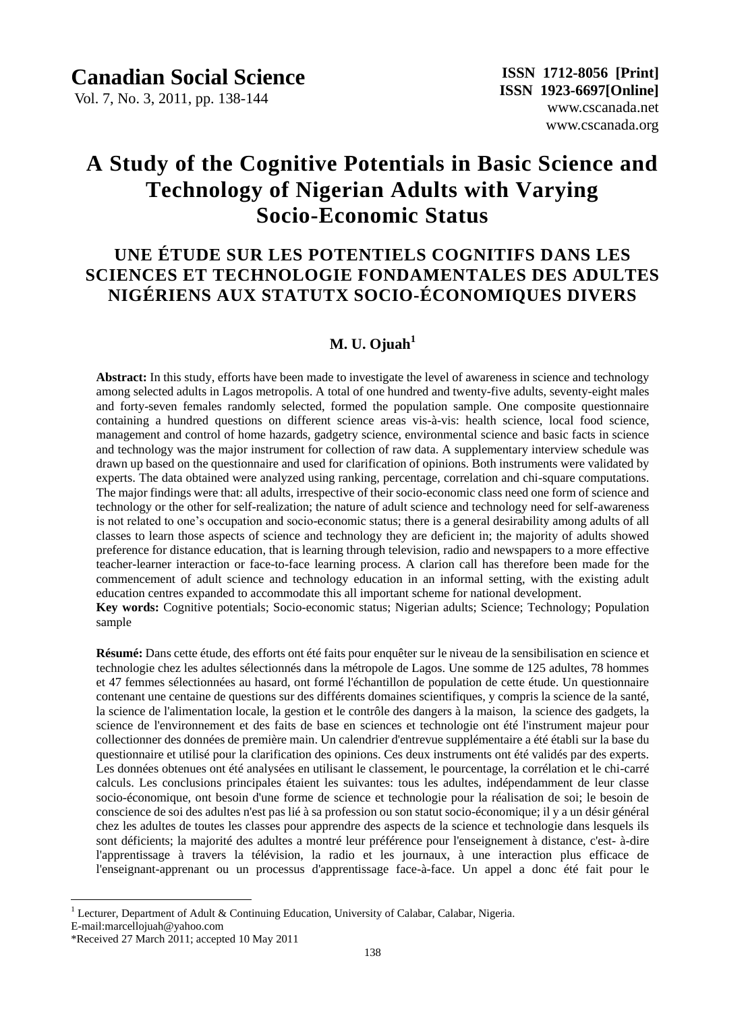Vol. 7, No. 3, 2011, pp. 138-144

# **A Study of the Cognitive Potentials in Basic Science and Technology of Nigerian Adults with Varying Socio-Economic Status**

# **UNE ÉTUDE SUR LES POTENTIELS COGNITIFS DANS LES SCIENCES ET TECHNOLOGIE FONDAMENTALES DES ADULTES NIGÉRIENS AUX STATUTX SOCIO-ÉCONOMIQUES DIVERS**

# **M. U. Ojuah<sup>1</sup>**

**Abstract:** In this study, efforts have been made to investigate the level of awareness in science and technology among selected adults in Lagos metropolis. A total of one hundred and twenty-five adults, seventy-eight males and forty-seven females randomly selected, formed the population sample. One composite questionnaire containing a hundred questions on different science areas vis-à-vis: health science, local food science, management and control of home hazards, gadgetry science, environmental science and basic facts in science and technology was the major instrument for collection of raw data. A supplementary interview schedule was drawn up based on the questionnaire and used for clarification of opinions. Both instruments were validated by experts. The data obtained were analyzed using ranking, percentage, correlation and chi-square computations. The major findings were that: all adults, irrespective of their socio-economic class need one form of science and technology or the other for self-realization; the nature of adult science and technology need for self-awareness is not related to one's occupation and socio-economic status; there is a general desirability among adults of all classes to learn those aspects of science and technology they are deficient in; the majority of adults showed preference for distance education, that is learning through television, radio and newspapers to a more effective teacher-learner interaction or face-to-face learning process. A clarion call has therefore been made for the commencement of adult science and technology education in an informal setting, with the existing adult education centres expanded to accommodate this all important scheme for national development.

**Key words:** Cognitive potentials; Socio-economic status; Nigerian adults; Science; Technology; Population sample

**Résumé:** Dans cette étude, des efforts ont été faits pour enquêter sur le niveau de la sensibilisation en science et technologie chez les adultes sélectionnés dans la métropole de Lagos. Une somme de 125 adultes, 78 hommes et 47 femmes sélectionnées au hasard, ont formé l'échantillon de population de cette étude. Un questionnaire contenant une centaine de questions sur des différents domaines scientifiques, y compris la science de la santé, la science de l'alimentation locale, la gestion et le contrôle des dangers àla maison, la science des gadgets, la science de l'environnement et des faits de base en sciences et technologie ont été l'instrument majeur pour collectionner des données de première main. Un calendrier d'entrevue supplémentaire a été établi sur la base du questionnaire et utilisé pour la clarification des opinions. Ces deux instruments ont été validés par des experts. Les donn ées obtenues ont été analysées en utilisant le classement, le pourcentage, la corrélation et le chi-carré calculs. Les conclusions principales étaient les suivantes: tous les adultes, indépendamment de leur classe socio-économique, ont besoin d'une forme de science et technologie pour la réalisation de soi; le besoin de conscience de soi des adultes n'est pas lié à sa profession ou son statut socio-économique; il y a un désir général chez les adultes de toutes les classes pour apprendre des aspects de la science et technologie dans lesquels ils sont déficients; la majorité des adultes a montré leur préférence pour l'enseignement à distance, c'est- à-dire l'apprentissage à travers la télévision, la radio et les journaux, à une interaction plus efficace de l'enseignant-apprenant ou un processus d'apprentissage face-à-face. Un appel a donc été fait pour le

 $\overline{a}$ 

<sup>&</sup>lt;sup>1</sup> Lecturer, Department of Adult & Continuing Education, University of Calabar, Calabar, Nigeria.

E-mail:marcellojuah@yahoo.com

<sup>\*</sup>Received 27 March 2011; accepted 10 May 2011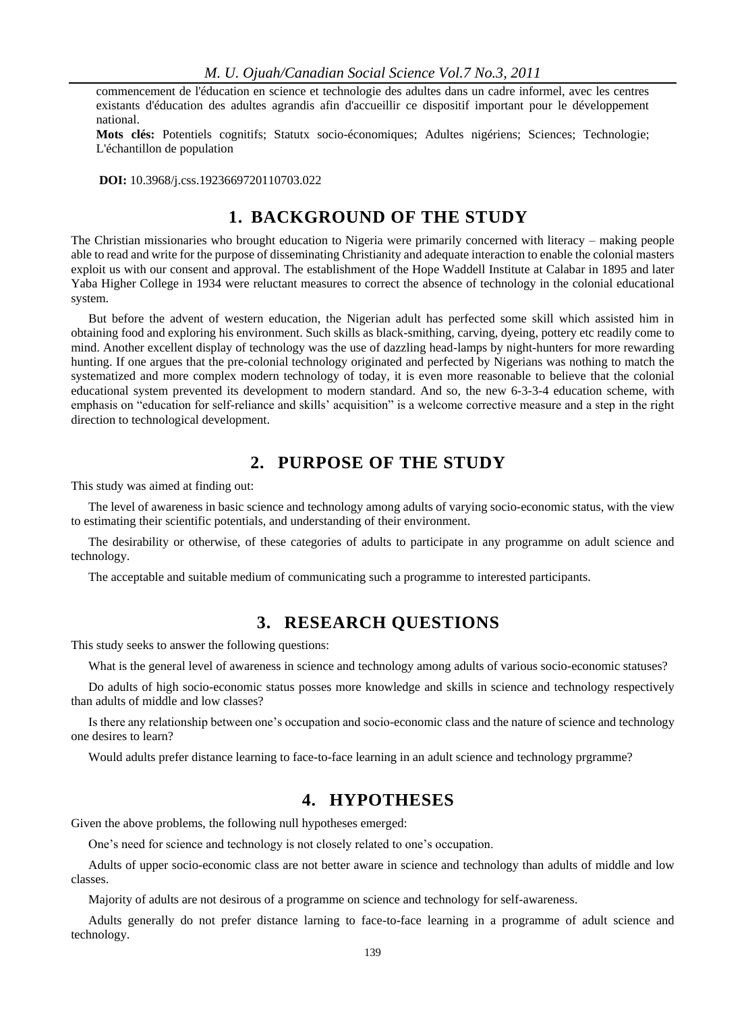commencement de l'éducation en science et technologie des adultes dans un cadre informel, avec les centres existants d'éducation des adultes agrandis afin d'accueillir ce dispositif important pour le développement national.

**Mots clés:** Potentiels cognitifs; Statutx socio-économiques; Adultes nigériens; Sciences; Technologie; L'échantillon de population

 **DOI:** 10.3968/j.css.1923669720110703.022

## **1. BACKGROUND OF THE STUDY**

The Christian missionaries who brought education to Nigeria were primarily concerned with literacy – making people able to read and write for the purpose of disseminating Christianity and adequate interaction to enable the colonial masters exploit us with our consent and approval. The establishment of the Hope Waddell Institute at Calabar in 1895 and later Yaba Higher College in 1934 were reluctant measures to correct the absence of technology in the colonial educational system.

But before the advent of western education, the Nigerian adult has perfected some skill which assisted him in obtaining food and exploring his environment. Such skills as black-smithing, carving, dyeing, pottery etc readily come to mind. Another excellent display of technology was the use of dazzling head-lamps by night-hunters for more rewarding hunting. If one argues that the pre-colonial technology originated and perfected by Nigerians was nothing to match the systematized and more complex modern technology of today, it is even more reasonable to believe that the colonial educational system prevented its development to modern standard. And so, the new 6-3-3-4 education scheme, with emphasis on "education for self-reliance and skills' acquisition" is a welcome corrective measure and a step in the right direction to technological development.

# **2. PURPOSE OF THE STUDY**

This study was aimed at finding out:

The level of awareness in basic science and technology among adults of varying socio-economic status, with the view to estimating their scientific potentials, and understanding of their environment.

The desirability or otherwise, of these categories of adults to participate in any programme on adult science and technology.

The acceptable and suitable medium of communicating such a programme to interested participants.

# **3. RESEARCH QUESTIONS**

This study seeks to answer the following questions:

What is the general level of awareness in science and technology among adults of various socio-economic statuses?

Do adults of high socio-economic status posses more knowledge and skills in science and technology respectively than adults of middle and low classes?

Is there any relationship between one's occupation and socio-economic class and the nature of science and technology one desires to learn?

Would adults prefer distance learning to face-to-face learning in an adult science and technology prgramme?

### **4. HYPOTHESES**

Given the above problems, the following null hypotheses emerged:

One's need for science and technology is not closely related to one's occupation.

Adults of upper socio-economic class are not better aware in science and technology than adults of middle and low classes.

Majority of adults are not desirous of a programme on science and technology for self-awareness.

Adults generally do not prefer distance larning to face-to-face learning in a programme of adult science and technology.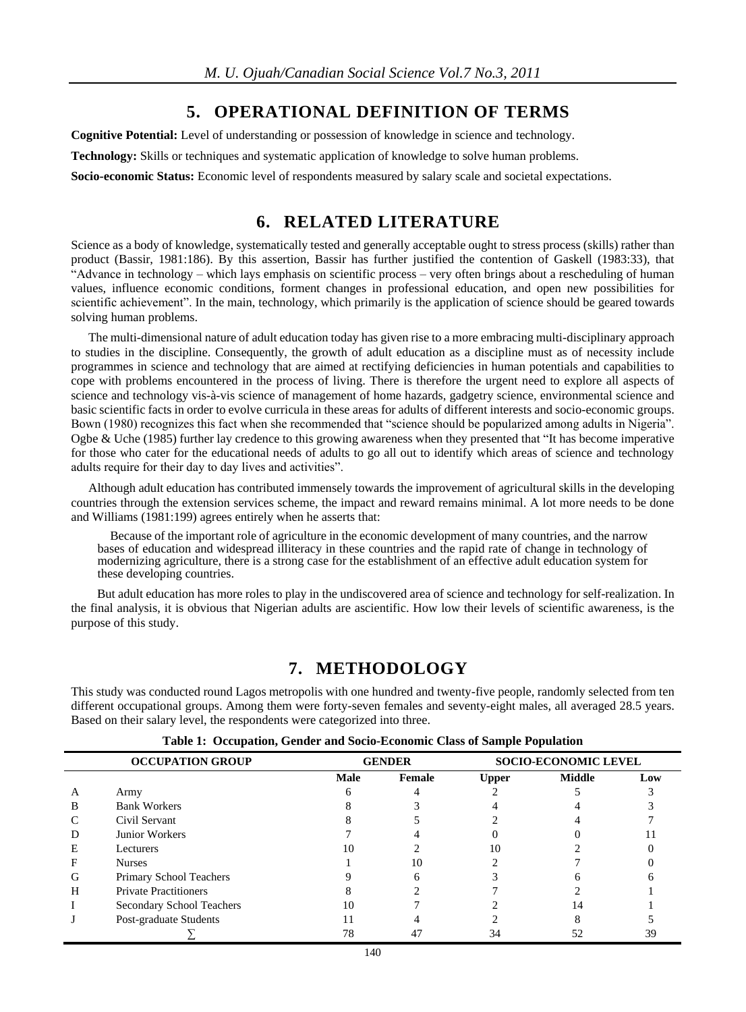# **5. OPERATIONAL DEFINITION OF TERMS**

**Cognitive Potential:** Level of understanding or possession of knowledge in science and technology.

**Technology:** Skills or techniques and systematic application of knowledge to solve human problems.

**Socio-economic Status:** Economic level of respondents measured by salary scale and societal expectations.

# **6. RELATED LITERATURE**

Science as a body of knowledge, systematically tested and generally acceptable ought to stress process (skills) rather than product (Bassir, 1981:186). By this assertion, Bassir has further justified the contention of Gaskell (1983:33), that "Advance in technology – which lays emphasis on scientific process – very often brings about a rescheduling of human values, influence economic conditions, forment changes in professional education, and open new possibilities for scientific achievement". In the main, technology, which primarily is the application of science should be geared towards solving human problems.

The multi-dimensional nature of adult education today has given rise to a more embracing multi-disciplinary approach to studies in the discipline. Consequently, the growth of adult education as a discipline must as of necessity include programmes in science and technology that are aimed at rectifying deficiencies in human potentials and capabilities to cope with problems encountered in the process of living. There is therefore the urgent need to explore all aspects of science and technology vis-à-vis science of management of home hazards, gadgetry science, environmental science and basic scientific facts in order to evolve curricula in these areas for adults of different interests and socio-economic groups. Bown (1980) recognizes this fact when she recommended that "science should be popularized among adults in Nigeria". Ogbe & Uche (1985) further lay credence to this growing awareness when they presented that "It has become imperative for those who cater for the educational needs of adults to go all out to identify which areas of science and technology adults require for their day to day lives and activities".

Although adult education has contributed immensely towards the improvement of agricultural skills in the developing countries through the extension services scheme, the impact and reward remains minimal. A lot more needs to be done and Williams (1981:199) agrees entirely when he asserts that:

Because of the important role of agriculture in the economic development of many countries, and the narrow bases of education and widespread illiteracy in these countries and the rapid rate of change in technology of modernizing agriculture, there is a strong case for the establishment of an effective adult education system for these developing countries.

But adult education has more roles to play in the undiscovered area of science and technology for self-realization. In the final analysis, it is obvious that Nigerian adults are ascientific. How low their levels of scientific awareness, is the purpose of this study.

# **7. METHODOLOGY**

This study was conducted round Lagos metropolis with one hundred and twenty-five people, randomly selected from ten different occupational groups. Among them were forty-seven females and seventy-eight males, all averaged 28.5 years. Based on their salary level, the respondents were categorized into three.

|   | <b>OCCUPATION GROUP</b>      | <b>GENDER</b> |        | <b>SOCIO-ECONOMIC LEVEL</b> |               |     |
|---|------------------------------|---------------|--------|-----------------------------|---------------|-----|
|   |                              | Male          | Female | <b>Upper</b>                | <b>Middle</b> | Low |
| А | Army                         |               |        |                             |               |     |
| в | <b>Bank Workers</b>          |               |        |                             |               |     |
|   | Civil Servant                |               |        |                             |               |     |
| Ð | Junior Workers               |               |        |                             |               |     |
| E | Lecturers                    | 10            |        | 10                          |               |     |
| F | <b>Nurses</b>                |               | 10     |                             |               |     |
| G | Primary School Teachers      |               |        |                             |               |     |
| H | <b>Private Practitioners</b> |               |        |                             |               |     |
|   | Secondary School Teachers    | 10            |        |                             | 14            |     |
|   | Post-graduate Students       | 11            |        |                             |               |     |
|   |                              | 78            |        |                             |               |     |

**Table 1: Occupation, Gender and Socio-Economic Class of Sample Population**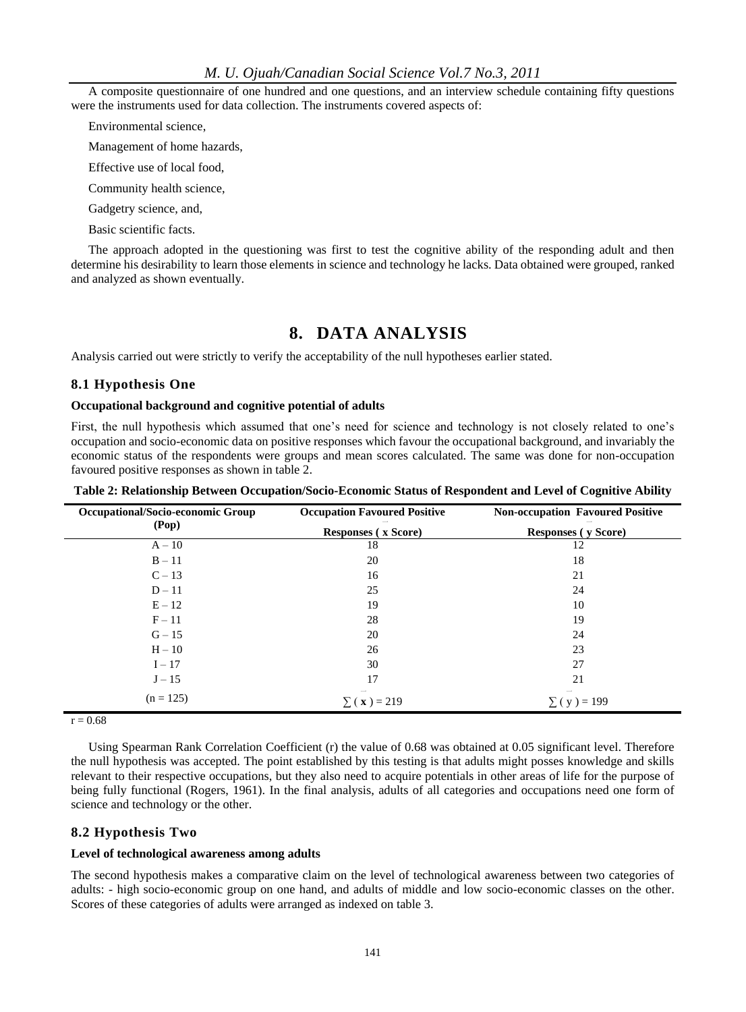A composite questionnaire of one hundred and one questions, and an interview schedule containing fifty questions were the instruments used for data collection. The instruments covered aspects of:

Environmental science,

Management of home hazards,

Effective use of local food,

Community health science,

Gadgetry science, and,

Basic scientific facts.

The approach adopted in the questioning was first to test the cognitive ability of the responding adult and then determine his desirability to learn those elements in science and technology he lacks. Data obtained were grouped, ranked and analyzed as shown eventually.

### **8. DATA ANALYSIS**

Analysis carried out were strictly to verify the acceptability of the null hypotheses earlier stated.

#### **8.1 Hypothesis One**

#### **Occupational background and cognitive potential of adults**

First, the null hypothesis which assumed that one's need for science and technology is not closely related to one's occupation and socio-economic data on positive responses which favour the occupational background, and invariably the economic status of the respondents were groups and mean scores calculated. The same was done for non-occupation favoured positive responses as shown in table 2.

| Occupational/Socio-economic Group | <b>Occupation Favoured Positive</b> | <b>Non-occupation Favoured Positive</b><br><b>Responses</b> (y Score) |  |
|-----------------------------------|-------------------------------------|-----------------------------------------------------------------------|--|
| (Pop)                             | <b>Responses</b> (x Score)          |                                                                       |  |
| $A - 10$                          | 18                                  | 12                                                                    |  |
| $B - 11$                          | 20                                  | 18                                                                    |  |
| $C-13$                            | 16                                  | 21                                                                    |  |
| $D-11$                            | 25                                  | 24                                                                    |  |
| $E - 12$                          | 19                                  | 10                                                                    |  |
| $F-11$                            | 28                                  | 19                                                                    |  |
| $G - 15$                          | 20                                  | 24                                                                    |  |
| $H - 10$                          | 26                                  | 23                                                                    |  |
| $I - 17$                          | 30                                  | 27                                                                    |  |
| $J-15$                            | 17                                  | 21                                                                    |  |
| $(n = 125)$                       | $\Sigma(x) = 219$                   | $(y) = 199$                                                           |  |

**Table 2: Relationship Between Occupation/Socio-Economic Status of Respondent and Level of Cognitive Ability**

 $r = 0.68$ 

Using Spearman Rank Correlation Coefficient (r) the value of 0.68 was obtained at 0.05 significant level. Therefore the null hypothesis was accepted. The point established by this testing is that adults might posses knowledge and skills relevant to their respective occupations, but they also need to acquire potentials in other areas of life for the purpose of being fully functional (Rogers, 1961). In the final analysis, adults of all categories and occupations need one form of science and technology or the other.

#### **8.2 Hypothesis Two**

#### **Level of technological awareness among adults**

The second hypothesis makes a comparative claim on the level of technological awareness between two categories of adults: - high socio-economic group on one hand, and adults of middle and low socio-economic classes on the other. Scores of these categories of adults were arranged as indexed on table 3.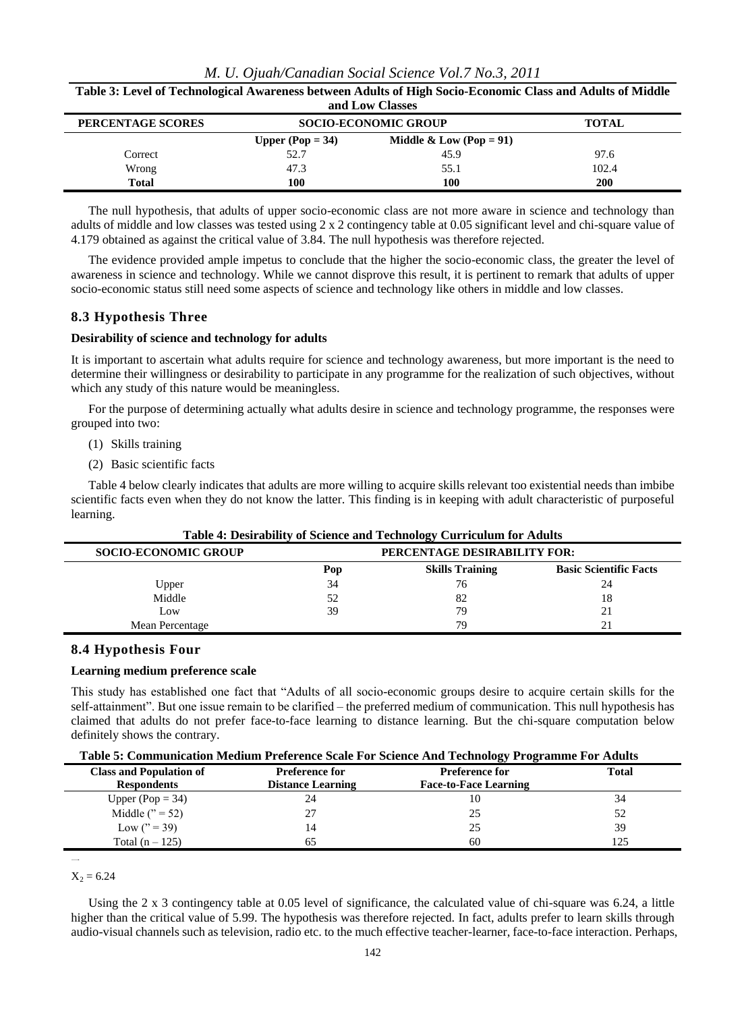| Table 3: Level of Technological Awareness between Adults of High Socio-Economic Class and Adults of Middle |                             |                                    |            |  |  |
|------------------------------------------------------------------------------------------------------------|-----------------------------|------------------------------------|------------|--|--|
| and Low Classes                                                                                            |                             |                                    |            |  |  |
| PERCENTAGE SCORES                                                                                          | <b>SOCIO-ECONOMIC GROUP</b> | <b>TOTAL</b>                       |            |  |  |
|                                                                                                            | Upper (Pop $= 34$ )         | <b>Middle &amp; Low (Pop = 91)</b> |            |  |  |
| Correct                                                                                                    | 52.7                        | 45.9                               | 97.6       |  |  |
| Wrong                                                                                                      | 47.3                        | 55.1                               | 102.4      |  |  |
| <b>Total</b>                                                                                               | 100                         | 100                                | <b>200</b> |  |  |

*M. U. Ojuah/Canadian Social Science Vol.7 No.3, 2011*

The null hypothesis, that adults of upper socio-economic class are not more aware in science and technology than adults of middle and low classes was tested using 2 x 2 contingency table at 0.05 significant level and chi-square value of 4.179 obtained as against the critical value of 3.84. The null hypothesis was therefore rejected.

The evidence provided ample impetus to conclude that the higher the socio-economic class, the greater the level of awareness in science and technology. While we cannot disprove this result, it is pertinent to remark that adults of upper socio-economic status still need some aspects of science and technology like others in middle and low classes.

#### **8.3 Hypothesis Three**

#### **Desirability of science and technology for adults**

It is important to ascertain what adults require for science and technology awareness, but more important is the need to determine their willingness or desirability to participate in any programme for the realization of such objectives, without which any study of this nature would be meaningless.

For the purpose of determining actually what adults desire in science and technology programme, the responses were grouped into two:

- (1) Skills training
- (2) Basic scientific facts

Table 4 below clearly indicates that adults are more willing to acquire skills relevant too existential needs than imbibe scientific facts even when they do not know the latter. This finding is in keeping with adult characteristic of purposeful learning.

| Table 4: Desitability of Science and Technology Curriculum for Adults |                              |                        |                               |  |
|-----------------------------------------------------------------------|------------------------------|------------------------|-------------------------------|--|
| <b>SOCIO-ECONOMIC GROUP</b>                                           | PERCENTAGE DESIRABILITY FOR: |                        |                               |  |
|                                                                       | Pop                          | <b>Skills Training</b> | <b>Basic Scientific Facts</b> |  |
| Upper                                                                 | 34                           | 76                     | 24                            |  |
| Middle                                                                | 52                           | 82                     | 18                            |  |
| Low                                                                   | 39                           | 79                     | 21                            |  |
| Mean Percentage                                                       |                              | 79                     |                               |  |

#### **Table 4: Desirability of Science and Technology Curriculum for Adults**

#### **8.4 Hypothesis Four**

#### **Learning medium preference scale**

This study has established one fact that "Adults of all socio-economic groups desire to acquire certain skills for the self-attainment". But one issue remain to be clarified – the preferred medium of communication. This null hypothesis has claimed that adults do not prefer face-to-face learning to distance learning. But the chi-square computation below definitely shows the contrary.

| <b>Class and Population of</b> | <b>Preference for</b>    | <b>Preference for</b>        | Total |  |
|--------------------------------|--------------------------|------------------------------|-------|--|
| <b>Respondents</b>             | <b>Distance Learning</b> | <b>Face-to-Face Learning</b> |       |  |
| Upper (Pop $= 34$ )            | 24                       | 10                           | 34    |  |
| Middle $('') = 52)$            | 27                       | 25                           | 52    |  |
| Low $('') = 39'$               | 14                       | 25                           | 39    |  |
| Total $(n-125)$                |                          | 60                           | 125   |  |
|                                |                          |                              |       |  |

 $X_2 = 6.24$ 

 $\overline{\phantom{0}}$ 

Using the 2 x 3 contingency table at 0.05 level of significance, the calculated value of chi-square was 6.24, a little higher than the critical value of 5.99. The hypothesis was therefore rejected. In fact, adults prefer to learn skills through audio-visual channels such as television, radio etc. to the much effective teacher-learner, face-to-face interaction. Perhaps,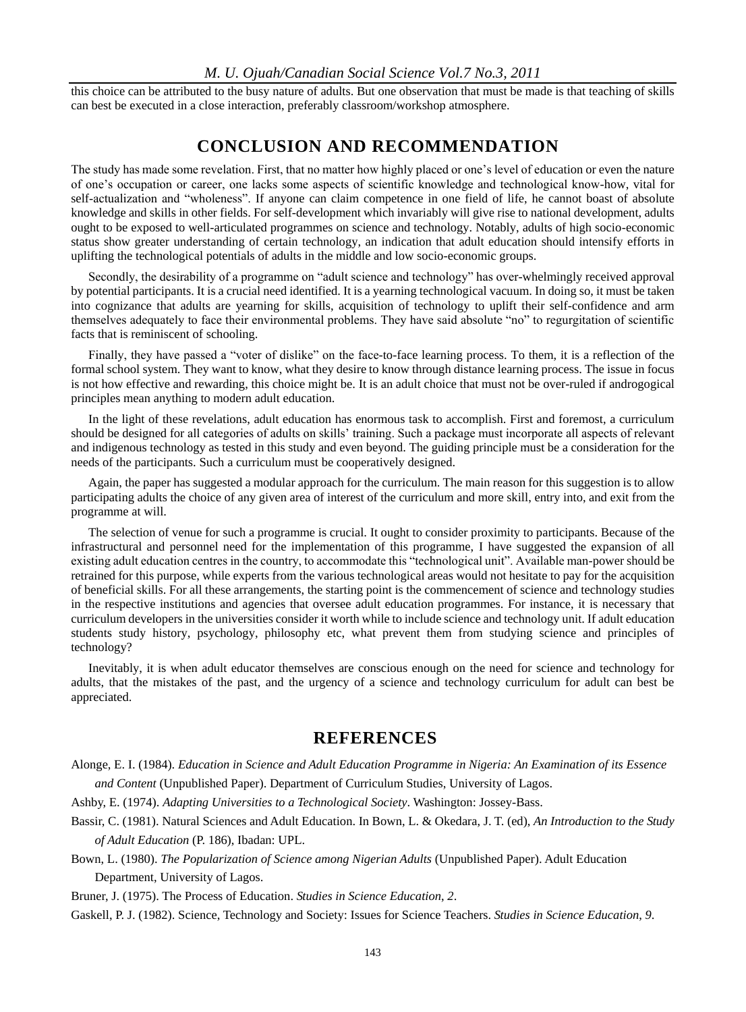#### *M. U. Ojuah/Canadian Social Science Vol.7 No.3, 2011*

this choice can be attributed to the busy nature of adults. But one observation that must be made is that teaching of skills can best be executed in a close interaction, preferably classroom/workshop atmosphere.

### **CONCLUSION AND RECOMMENDATION**

The study has made some revelation. First, that no matter how highly placed or one's level of education or even the nature of one's occupation or career, one lacks some aspects of scientific knowledge and technological know-how, vital for self-actualization and "wholeness". If anyone can claim competence in one field of life, he cannot boast of absolute knowledge and skills in other fields. For self-development which invariably will give rise to national development, adults ought to be exposed to well-articulated programmes on science and technology. Notably, adults of high socio-economic status show greater understanding of certain technology, an indication that adult education should intensify efforts in uplifting the technological potentials of adults in the middle and low socio-economic groups.

Secondly, the desirability of a programme on "adult science and technology" has over-whelmingly received approval by potential participants. It is a crucial need identified. It is a yearning technological vacuum. In doing so, it must be taken into cognizance that adults are yearning for skills, acquisition of technology to uplift their self-confidence and arm themselves adequately to face their environmental problems. They have said absolute "no" to regurgitation of scientific facts that is reminiscent of schooling.

Finally, they have passed a "voter of dislike" on the face-to-face learning process. To them, it is a reflection of the formal school system. They want to know, what they desire to know through distance learning process. The issue in focus is not how effective and rewarding, this choice might be. It is an adult choice that must not be over-ruled if androgogical principles mean anything to modern adult education.

In the light of these revelations, adult education has enormous task to accomplish. First and foremost, a curriculum should be designed for all categories of adults on skills' training. Such a package must incorporate all aspects of relevant and indigenous technology as tested in this study and even beyond. The guiding principle must be a consideration for the needs of the participants. Such a curriculum must be cooperatively designed.

Again, the paper has suggested a modular approach for the curriculum. The main reason for this suggestion is to allow participating adults the choice of any given area of interest of the curriculum and more skill, entry into, and exit from the programme at will.

The selection of venue for such a programme is crucial. It ought to consider proximity to participants. Because of the infrastructural and personnel need for the implementation of this programme, I have suggested the expansion of all existing adult education centres in the country, to accommodate this "technological unit". Available man-power should be retrained for this purpose, while experts from the various technological areas would not hesitate to pay for the acquisition of beneficial skills. For all these arrangements, the starting point is the commencement of science and technology studies in the respective institutions and agencies that oversee adult education programmes. For instance, it is necessary that curriculum developers in the universities consider it worth while to include science and technology unit. If adult education students study history, psychology, philosophy etc, what prevent them from studying science and principles of technology?

Inevitably, it is when adult educator themselves are conscious enough on the need for science and technology for adults, that the mistakes of the past, and the urgency of a science and technology curriculum for adult can best be appreciated.

### **REFERENCES**

- Alonge, E. I. (1984). *Education in Science and Adult Education Programme in Nigeria: An Examination of its Essence and Content* (Unpublished Paper). Department of Curriculum Studies, University of Lagos.
- Ashby, E. (1974). *Adapting Universities to a Technological Society*. Washington: Jossey-Bass.
- Bassir, C. (1981). Natural Sciences and Adult Education. In Bown, L. & Okedara, J. T. (ed), *An Introduction to the Study of Adult Education* (P. 186), Ibadan: UPL.

Bown, L. (1980). *The Popularization of Science among Nigerian Adults* (Unpublished Paper). Adult Education Department, University of Lagos.

Bruner, J. (1975). The Process of Education. *Studies in Science Education*, *2*.

Gaskell, P. J. (1982). Science, Technology and Society: Issues for Science Teachers. *Studies in Science Education*, *9*.